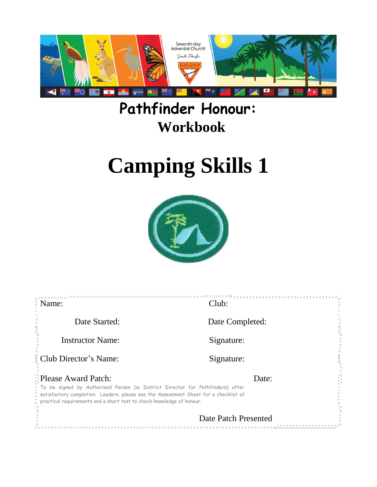

## **Pathfinder Honour: Workbook**

# **Camping Skills 1**



| Name:                                                                                                                                                                                                                                                                 | $\frac{1}{2} \frac{1}{2} \frac{1}{2} \frac{1}{2} \frac{1}{2} \frac{1}{2} \frac{1}{2} \frac{1}{2} \frac{1}{2} \frac{1}{2} \frac{1}{2} \frac{1}{2} \frac{1}{2} \frac{1}{2} \frac{1}{2} \frac{1}{2} \frac{1}{2} \frac{1}{2} \frac{1}{2} \frac{1}{2} \frac{1}{2} \frac{1}{2} \frac{1}{2} \frac{1}{2} \frac{1}{2} \frac{1}{2} \frac{1}{2} \frac{1}{2} \frac{1}{2} \frac{1}{2} \frac{1}{2} \frac{$<br>Club: |  |  |
|-----------------------------------------------------------------------------------------------------------------------------------------------------------------------------------------------------------------------------------------------------------------------|-------------------------------------------------------------------------------------------------------------------------------------------------------------------------------------------------------------------------------------------------------------------------------------------------------------------------------------------------------------------------------------------------------|--|--|
| Date Started:                                                                                                                                                                                                                                                         | Date Completed:                                                                                                                                                                                                                                                                                                                                                                                       |  |  |
| <b>Instructor Name:</b>                                                                                                                                                                                                                                               | Signature:                                                                                                                                                                                                                                                                                                                                                                                            |  |  |
| <b>Club Director's Name:</b>                                                                                                                                                                                                                                          | Signature:                                                                                                                                                                                                                                                                                                                                                                                            |  |  |
| <b>Please Award Patch:</b>                                                                                                                                                                                                                                            | Date:                                                                                                                                                                                                                                                                                                                                                                                                 |  |  |
| $\gamma$ To be signed by Authorised Person (ie District Director for Pathfinders) after<br>Si satisfactory completion. Leaders, please see the Assessment Sheet for a checklist of<br>$\hat{C}$ practical requirements and a short test to check knowledge of honour. |                                                                                                                                                                                                                                                                                                                                                                                                       |  |  |
| Date Patch Presented                                                                                                                                                                                                                                                  |                                                                                                                                                                                                                                                                                                                                                                                                       |  |  |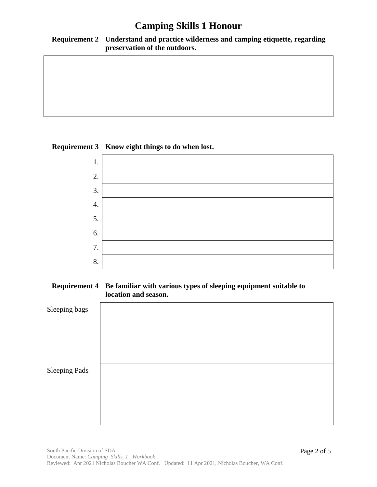#### **Requirement 2 Understand and practice wilderness and camping etiquette, regarding preservation of the outdoors.**

### **Requirement 3 Know eight things to do when lost.**



#### **Requirement 4 Be familiar with various types of sleeping equipment suitable to location and season.**

| Sleeping bags        |  |  |
|----------------------|--|--|
|                      |  |  |
| <b>Sleeping Pads</b> |  |  |
|                      |  |  |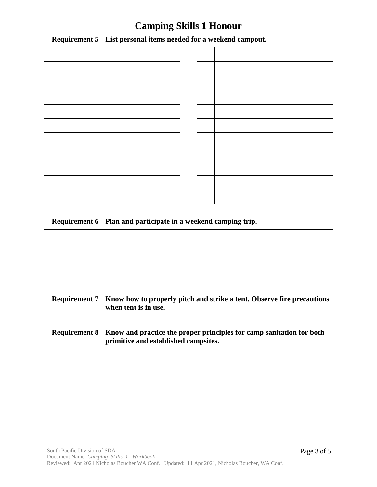**Requirement 5 List personal items needed for a weekend campout.**

**Requirement 6 Plan and participate in a weekend camping trip.**

- **Requirement 7 Know how to properly pitch and strike a tent. Observe fire precautions when tent is in use.**
- **Requirement 8 Know and practice the proper principles for camp sanitation for both primitive and established campsites.**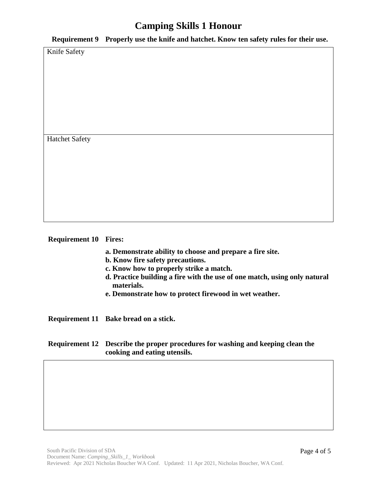**Requirement 9 Properly use the knife and hatchet. Know ten safety rules for their use.**

Knife Safety

Hatchet Safety

#### **Requirement 10 Fires:**

- **a. Demonstrate ability to choose and prepare a fire site.**
- **b. Know fire safety precautions.**
- **c. Know how to properly strike a match.**
- **d. Practice building a fire with the use of one match, using only natural materials.**
- **e. Demonstrate how to protect firewood in wet weather.**

**Requirement 11 Bake bread on a stick.**

#### **Requirement 12 Describe the proper procedures for washing and keeping clean the cooking and eating utensils.**